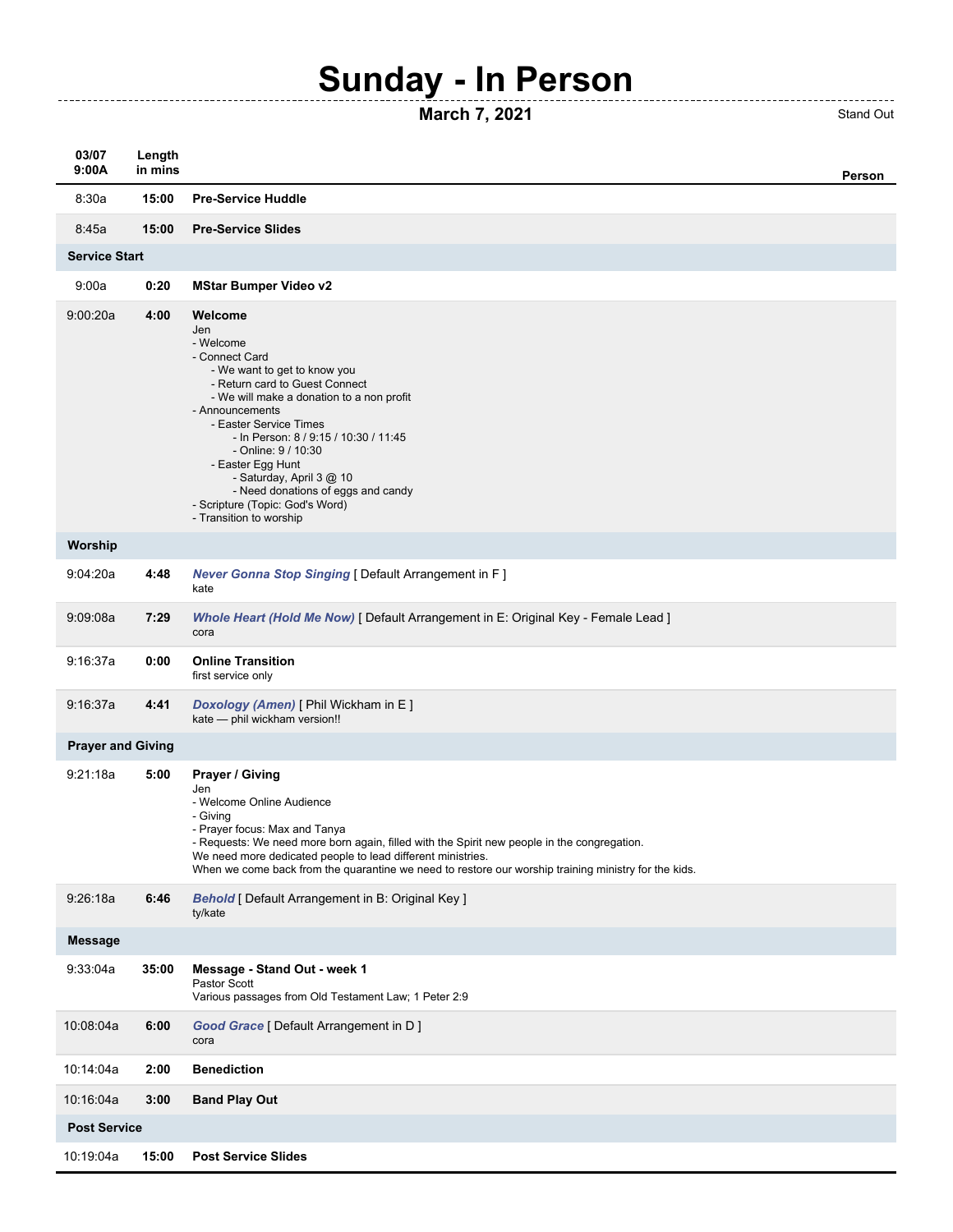## **Sunday - In Person**

## **March 7, 2021** Stand Out

------------------------------------

| 03/07<br>9:00A           | Length<br>in mins |                                                                                                                                                                                                                                                                                                                                                                                                                                | Person |  |
|--------------------------|-------------------|--------------------------------------------------------------------------------------------------------------------------------------------------------------------------------------------------------------------------------------------------------------------------------------------------------------------------------------------------------------------------------------------------------------------------------|--------|--|
| 8:30a                    | 15:00             | <b>Pre-Service Huddle</b>                                                                                                                                                                                                                                                                                                                                                                                                      |        |  |
| 8:45a                    | 15:00             | <b>Pre-Service Slides</b>                                                                                                                                                                                                                                                                                                                                                                                                      |        |  |
| <b>Service Start</b>     |                   |                                                                                                                                                                                                                                                                                                                                                                                                                                |        |  |
| 9:00a                    | 0:20              | <b>MStar Bumper Video v2</b>                                                                                                                                                                                                                                                                                                                                                                                                   |        |  |
| 9:00:20a                 | 4:00              | Welcome<br>Jen<br>- Welcome<br>- Connect Card<br>- We want to get to know you<br>- Return card to Guest Connect<br>- We will make a donation to a non profit<br>- Announcements<br>- Easter Service Times<br>- In Person: 8 / 9:15 / 10:30 / 11:45<br>- Online: 9 / 10:30<br>- Easter Egg Hunt<br>- Saturday, April 3 @ 10<br>- Need donations of eggs and candy<br>- Scripture (Topic: God's Word)<br>- Transition to worship |        |  |
| Worship                  |                   |                                                                                                                                                                                                                                                                                                                                                                                                                                |        |  |
| 9:04:20a                 | 4:48              | Never Gonna Stop Singing [ Default Arrangement in F ]<br>kate                                                                                                                                                                                                                                                                                                                                                                  |        |  |
| 9:09:08a                 | 7:29              | Whole Heart (Hold Me Now) [ Default Arrangement in E: Original Key - Female Lead ]<br>cora                                                                                                                                                                                                                                                                                                                                     |        |  |
| 9:16:37a                 | 0:00              | <b>Online Transition</b><br>first service only                                                                                                                                                                                                                                                                                                                                                                                 |        |  |
| 9:16:37a                 | 4:41              | Doxology (Amen) [ Phil Wickham in E ]<br>kate - phil wickham version!!                                                                                                                                                                                                                                                                                                                                                         |        |  |
| <b>Prayer and Giving</b> |                   |                                                                                                                                                                                                                                                                                                                                                                                                                                |        |  |
| 9:21:18a                 | 5:00              | Prayer / Giving<br>Jen<br>- Welcome Online Audience<br>- Giving<br>- Prayer focus: Max and Tanya<br>- Requests: We need more born again, filled with the Spirit new people in the congregation.<br>We need more dedicated people to lead different ministries.<br>When we come back from the quarantine we need to restore our worship training ministry for the kids.                                                         |        |  |
| 9:26:18a                 | 6:46              | <b>Behold</b> [ Default Arrangement in B: Original Key ]<br>ty/kate                                                                                                                                                                                                                                                                                                                                                            |        |  |
| <b>Message</b>           |                   |                                                                                                                                                                                                                                                                                                                                                                                                                                |        |  |
| 9:33:04a                 | 35:00             | Message - Stand Out - week 1<br>Pastor Scott<br>Various passages from Old Testament Law; 1 Peter 2:9                                                                                                                                                                                                                                                                                                                           |        |  |
| 10:08:04a                | 6:00              | Good Grace [ Default Arrangement in D ]<br>cora                                                                                                                                                                                                                                                                                                                                                                                |        |  |
| 10:14:04a                | 2:00              | <b>Benediction</b>                                                                                                                                                                                                                                                                                                                                                                                                             |        |  |
| 10:16:04a                | 3:00              | <b>Band Play Out</b>                                                                                                                                                                                                                                                                                                                                                                                                           |        |  |
| <b>Post Service</b>      |                   |                                                                                                                                                                                                                                                                                                                                                                                                                                |        |  |
| 10:19:04a                | 15:00             | <b>Post Service Slides</b>                                                                                                                                                                                                                                                                                                                                                                                                     |        |  |